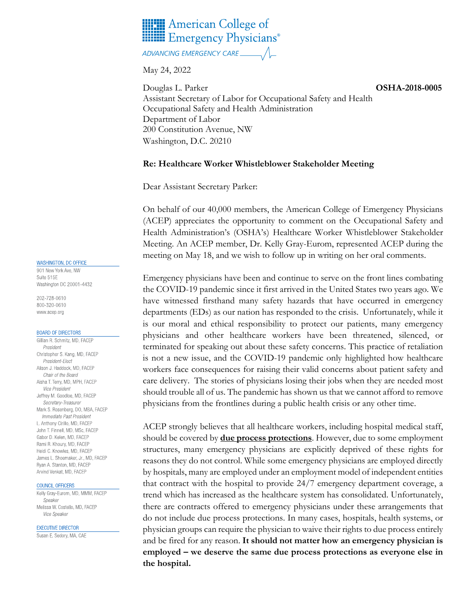

ADVANCING EMERGENCY CARE

May 24, 2022

Douglas L. Parker **OSHA-2018-0005**  Assistant Secretary of Labor for Occupational Safety and Health Occupational Safety and Health Administration Department of Labor 200 Constitution Avenue, NW Washington, D.C. 20210

## **Re: Healthcare Worker Whistleblower Stakeholder Meeting**

Dear Assistant Secretary Parker:

On behalf of our 40,000 members, the American College of Emergency Physicians (ACEP) appreciates the opportunity to comment on the Occupational Safety and Health Administration's (OSHA's) Healthcare Worker Whistleblower Stakeholder Meeting. An ACEP member, Dr. Kelly Gray-Eurom, represented ACEP during the meeting on May 18, and we wish to follow up in writing on her oral comments.

Emergency physicians have been and continue to serve on the front lines combating the COVID-19 pandemic since it first arrived in the United States two years ago. We have witnessed firsthand many safety hazards that have occurred in emergency departments (EDs) as our nation has responded to the crisis. Unfortunately, while it is our moral and ethical responsibility to protect our patients, many emergency physicians and other healthcare workers have been threatened, silenced, or terminated for speaking out about these safety concerns. This practice of retaliation is not a new issue, and the COVID-19 pandemic only highlighted how healthcare workers face consequences for raising their valid concerns about patient safety and care delivery. The stories of physicians losing their jobs when they are needed most should trouble all of us. The pandemic has shown us that we cannot afford to remove physicians from the frontlines during a public health crisis or any other time.

ACEP strongly believes that all healthcare workers, including hospital medical staff, should be covered by **due process protections**. However, due to some employment structures, many emergency physicians are explicitly deprived of these rights for reasons they do not control. While some emergency physicians are employed directly by hospitals, many are employed under an employment model of independent entities that contract with the hospital to provide 24/7 emergency department coverage, a trend which has increased as the healthcare system has consolidated. Unfortunately, there are contracts offered to emergency physicians under these arrangements that do not include due process protections. In many cases, hospitals, health systems, or physician groups can require the physician to waive their rights to due process entirely and be fired for any reason. **It should not matter how an emergency physician is employed – we deserve the same due process protections as everyone else in the hospital.**

### WASHINGTON, DC OFFICE

901 New York Ave, NW Suite 515E Washington DC 20001-4432

202-728-0610 800-320-0610 www.acep.org

#### **BOARD OF DIRECTORS**

Gillian R. Schmitz, MD, FACEP President Christopher S. Kang, MD, FACEP President-Elect Alison J. Haddock, MD, FACEP Chair of the Board Aisha T. Terry, MD, MPH, FACEP **Vice President** Jeffrey M. Goodloe, MD, FACEP Secretary-Treasurer Mark S. Rosenberg, DO, MBA, FACEP Immediate Past President L. Anthony Cirillo, MD, FACEP John T. Finnell, MD, MSc, FACEP Gabor D. Kelen, MD. FACEP Rami R. Khoury, MD, FACEP Heidi C. Knowles, MD, FACEP James L. Shoemaker, Jr., MD, FACEP Ryan A. Stanton, MD, FACEP Arvind Venkat, MD, FACEP

#### COUNCIL OFFICERS

Kelly Gray-Eurom, MD, MMM, FACEP Speaker Melissa W. Costello, MD, FACEP Vice Speaker

**EXECUTIVE DIRECTOR** 

Susan E. Sedory, MA, CAE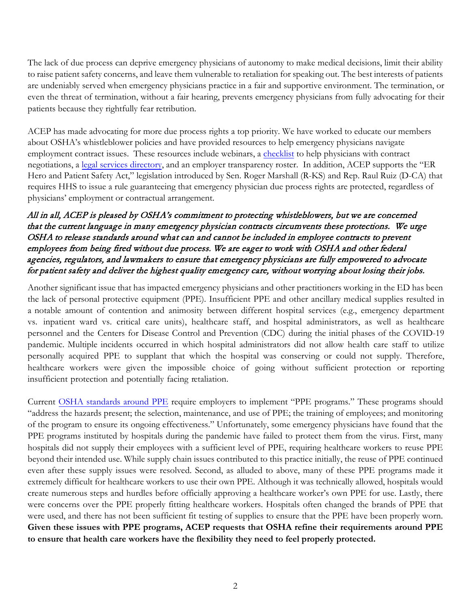The lack of due process can deprive emergency physicians of autonomy to make medical decisions, limit their ability to raise patient safety concerns, and leave them vulnerable to retaliation for speaking out. The best interests of patients are undeniably served when emergency physicians practice in a fair and supportive environment. The termination, or even the threat of termination, without a fair hearing, prevents emergency physicians from fully advocating for their patients because they rightfully fear retribution.

ACEP has made advocating for more due process rights a top priority. We have worked to educate our members about OSHA's whistleblower policies and have provided resources to help emergency physicians navigate employment contract issues. These resources include webinars, a [checklist](https://www.acep.org/life-as-a-physician/career-center/negotiating-the-best-employment-contract/) to help physicians with contract negotiations, a [legal services directory,](https://www.acep.org/administration/small-groups/small-groups-legal/) and an employer transparency roster. In addition, ACEP supports the "ER Hero and Patient Safety Act," legislation introduced by Sen. Roger Marshall (R-KS) and Rep. Raul Ruiz (D-CA) that requires HHS to issue a rule guaranteeing that emergency physician due process rights are protected, regardless of physicians' employment or contractual arrangement.

# All in all, ACEP is pleased by OSHA's commitment to protecting whistleblowers, but we are concerned that the current language in many emergency physician contracts circumvents these protections. We urge OSHA to release standards around what can and cannot be included in employee contracts to prevent employees from being fired without due process. We are eager to work with OSHA and other federal agencies, regulators, and lawmakers to ensure that emergency physicians are fully empowered to advocate for patient safety and deliver the highest quality emergency care, without worrying about losing their jobs.

Another significant issue that has impacted emergency physicians and other practitioners working in the ED has been the lack of personal protective equipment (PPE). Insufficient PPE and other ancillary medical supplies resulted in a notable amount of contention and animosity between different hospital services (e.g., emergency department vs. inpatient ward vs. critical care units), healthcare staff, and hospital administrators, as well as healthcare personnel and the Centers for Disease Control and Prevention (CDC) during the initial phases of the COVID-19 pandemic. Multiple incidents occurred in which hospital administrators did not allow health care staff to utilize personally acquired PPE to supplant that which the hospital was conserving or could not supply. Therefore, healthcare workers were given the impossible choice of going without sufficient protection or reporting insufficient protection and potentially facing retaliation.

Current [OSHA standards around PPE](https://www.osha.gov/personal-protective-equipment#:%7E:text=Personal%20protective%20equipment%2C%20commonly%20referred,mechanical%2C%20or%20other%20workplace%20hazards.) require employers to implement "PPE programs." These programs should "address the hazards present; the selection, maintenance, and use of PPE; the training of employees; and monitoring of the program to ensure its ongoing effectiveness." Unfortunately, some emergency physicians have found that the PPE programs instituted by hospitals during the pandemic have failed to protect them from the virus. First, many hospitals did not supply their employees with a sufficient level of PPE, requiring healthcare workers to reuse PPE beyond their intended use. While supply chain issues contributed to this practice initially, the reuse of PPE continued even after these supply issues were resolved. Second, as alluded to above, many of these PPE programs made it extremely difficult for healthcare workers to use their own PPE. Although it was technically allowed, hospitals would create numerous steps and hurdles before officially approving a healthcare worker's own PPE for use. Lastly, there were concerns over the PPE properly fitting healthcare workers. Hospitals often changed the brands of PPE that were used, and there has not been sufficient fit testing of supplies to ensure that the PPE have been properly worn. **Given these issues with PPE programs, ACEP requests that OSHA refine their requirements around PPE to ensure that health care workers have the flexibility they need to feel properly protected.**